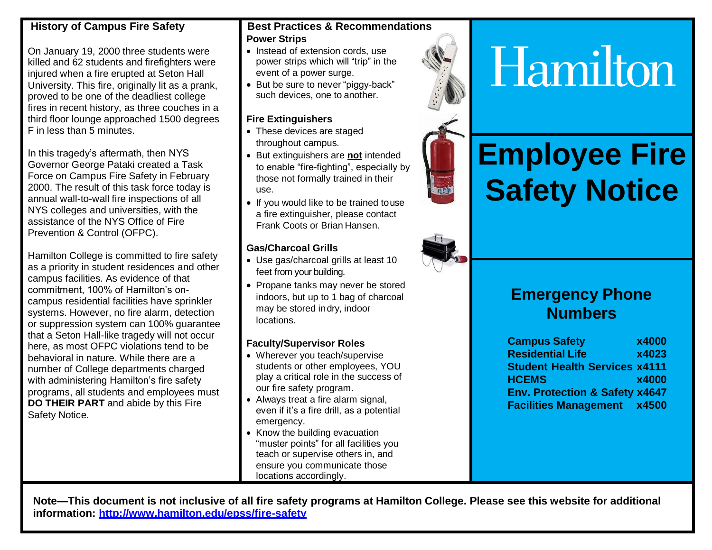#### **History of Campus Fire Safety**

On January 19, 2000 three students were killed and 62 students and firefighters were injured when a fire erupted at Seton Hall University. This fire, originally lit as a prank, proved to be one of the deadliest college fires in recent history, as three couches in a third floor lounge approached 1500 degrees F in less than 5 minutes.

In this tragedy's aftermath, then NYS Governor George Pataki created a Task Force on Campus Fire Safety in February 2000. The result of this task force today is annual wall-to-wall fire inspections of all NYS colleges and universities, with the assistance of the NYS Office of Fire Prevention & Control (OFPC).

Hamilton College is committed to fire safety as a priority in student residences and other campus facilities. As evidence of that commitment, 100% of Hamilton's oncampus residential facilities have sprinkler systems. However, no fire alarm, detection or suppression system can 100% guarantee that a Seton Hall-like tragedy will not occur here, as most OFPC violations tend to be behavioral in nature. While there are a number of College departments charged with administering Hamilton's fire safety programs, all students and employees must **DO THEIR PART** and abide by this Fire Safety Notice.

#### **Best Practices & Recommendations Power Strips**

- Instead of extension cords, use power strips which will "trip" in the event of a power surge.
- But be sure to never "piggy-back" such devices, one to another.

#### **Fire Extinguishers**

- These devices are staged throughout campus.
- But extinguishers are **not** intended to enable "fire-fighting", especially by those not formally trained in their use.
- If you would like to be trained touse a fire extinguisher, please contact Frank Coots or Brian Hansen.

#### **Gas/Charcoal Grills**

- Use gas/charcoal grills at least 10 feet from your building.
- Propane tanks may never be stored indoors, but up to 1 bag of charcoal may be stored indry, indoor locations.

#### **Faculty/Supervisor Roles**

- Wherever you teach/supervise students or other employees, YOU play a critical role in the success of our fire safety program.
- Always treat a fire alarm signal, even if it's a fire drill, as a potential emergency.
- Know the building evacuation "muster points" for all facilities you teach or supervise others in, and ensure you communicate those locations accordingly.



# Hamilton

# **Employee Fire Safety Notice**



### **Emergency Phone Numbers**

**Campus Safety x4000 Residential Life x4023 Student Health Services x4111 HCEMS x4000 Env. Protection & Safety x4647 Facilities Management x4500**

**Note—This document is not inclusive of all fire safety programs at Hamilton College. Please see this website for additional information:<http://www.hamilton.edu/epss/fire-safety>**